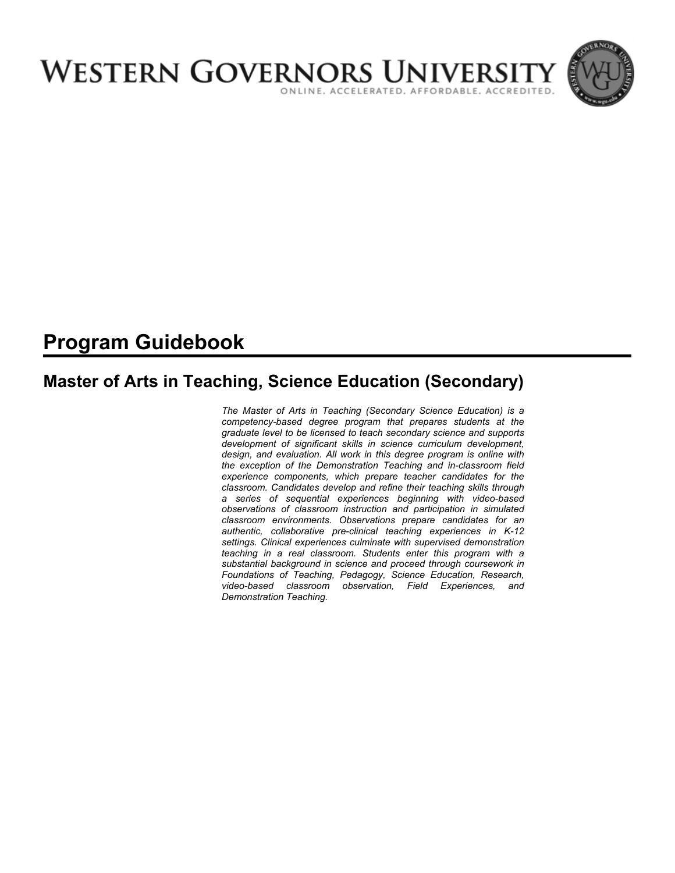

# **Program Guidebook**

# **Master of Arts in Teaching, Science Education (Secondary)**

*The Master of Arts in Teaching (Secondary Science Education) is a competency-based degree program that prepares students at the graduate level to be licensed to teach secondary science and supports development of significant skills in science curriculum development, design, and evaluation. All work in this degree program is online with the exception of the Demonstration Teaching and in-classroom field experience components, which prepare teacher candidates for the classroom. Candidates develop and refine their teaching skills through a series of sequential experiences beginning with video-based observations of classroom instruction and participation in simulated classroom environments. Observations prepare candidates for an authentic, collaborative pre-clinical teaching experiences in K-12 settings. Clinical experiences culminate with supervised demonstration teaching in a real classroom. Students enter this program with a substantial background in science and proceed through coursework in Foundations of Teaching, Pedagogy, Science Education, Research, video-based classroom observation, Field Experiences, and Demonstration Teaching.*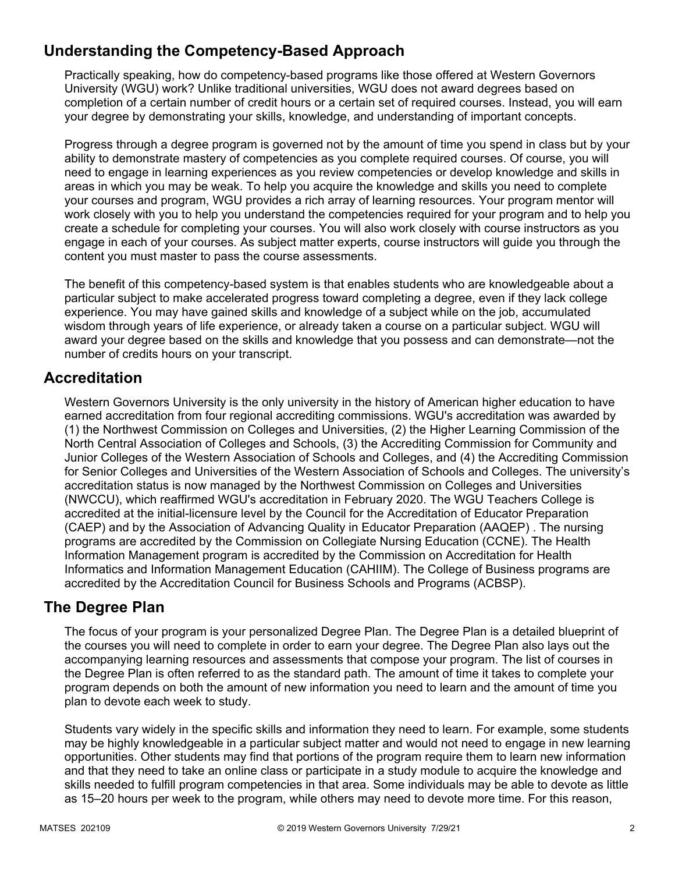# **Understanding the Competency-Based Approach**

Practically speaking, how do competency-based programs like those offered at Western Governors University (WGU) work? Unlike traditional universities, WGU does not award degrees based on completion of a certain number of credit hours or a certain set of required courses. Instead, you will earn your degree by demonstrating your skills, knowledge, and understanding of important concepts.

Progress through a degree program is governed not by the amount of time you spend in class but by your ability to demonstrate mastery of competencies as you complete required courses. Of course, you will need to engage in learning experiences as you review competencies or develop knowledge and skills in areas in which you may be weak. To help you acquire the knowledge and skills you need to complete your courses and program, WGU provides a rich array of learning resources. Your program mentor will work closely with you to help you understand the competencies required for your program and to help you create a schedule for completing your courses. You will also work closely with course instructors as you engage in each of your courses. As subject matter experts, course instructors will guide you through the content you must master to pass the course assessments.

The benefit of this competency-based system is that enables students who are knowledgeable about a particular subject to make accelerated progress toward completing a degree, even if they lack college experience. You may have gained skills and knowledge of a subject while on the job, accumulated wisdom through years of life experience, or already taken a course on a particular subject. WGU will award your degree based on the skills and knowledge that you possess and can demonstrate—not the number of credits hours on your transcript.

# **Accreditation**

Western Governors University is the only university in the history of American higher education to have earned accreditation from four regional accrediting commissions. WGU's accreditation was awarded by (1) the Northwest Commission on Colleges and Universities, (2) the Higher Learning Commission of the North Central Association of Colleges and Schools, (3) the Accrediting Commission for Community and Junior Colleges of the Western Association of Schools and Colleges, and (4) the Accrediting Commission for Senior Colleges and Universities of the Western Association of Schools and Colleges. The university's accreditation status is now managed by the Northwest Commission on Colleges and Universities (NWCCU), which reaffirmed WGU's accreditation in February 2020. The WGU Teachers College is accredited at the initial-licensure level by the Council for the Accreditation of Educator Preparation (CAEP) and by the Association of Advancing Quality in Educator Preparation (AAQEP) . The nursing programs are accredited by the Commission on Collegiate Nursing Education (CCNE). The Health Information Management program is accredited by the Commission on Accreditation for Health Informatics and Information Management Education (CAHIIM). The College of Business programs are accredited by the Accreditation Council for Business Schools and Programs (ACBSP).

## **The Degree Plan**

The focus of your program is your personalized Degree Plan. The Degree Plan is a detailed blueprint of the courses you will need to complete in order to earn your degree. The Degree Plan also lays out the accompanying learning resources and assessments that compose your program. The list of courses in the Degree Plan is often referred to as the standard path. The amount of time it takes to complete your program depends on both the amount of new information you need to learn and the amount of time you plan to devote each week to study.

Students vary widely in the specific skills and information they need to learn. For example, some students may be highly knowledgeable in a particular subject matter and would not need to engage in new learning opportunities. Other students may find that portions of the program require them to learn new information and that they need to take an online class or participate in a study module to acquire the knowledge and skills needed to fulfill program competencies in that area. Some individuals may be able to devote as little as 15–20 hours per week to the program, while others may need to devote more time. For this reason,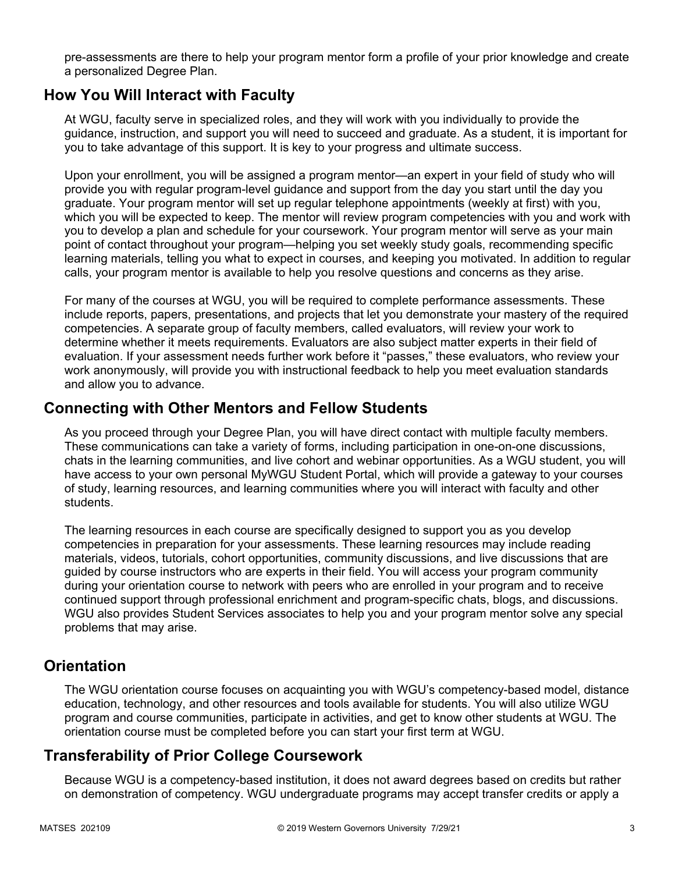pre-assessments are there to help your program mentor form a profile of your prior knowledge and create a personalized Degree Plan.

### **How You Will Interact with Faculty**

At WGU, faculty serve in specialized roles, and they will work with you individually to provide the guidance, instruction, and support you will need to succeed and graduate. As a student, it is important for you to take advantage of this support. It is key to your progress and ultimate success.

Upon your enrollment, you will be assigned a program mentor—an expert in your field of study who will provide you with regular program-level guidance and support from the day you start until the day you graduate. Your program mentor will set up regular telephone appointments (weekly at first) with you, which you will be expected to keep. The mentor will review program competencies with you and work with you to develop a plan and schedule for your coursework. Your program mentor will serve as your main point of contact throughout your program—helping you set weekly study goals, recommending specific learning materials, telling you what to expect in courses, and keeping you motivated. In addition to regular calls, your program mentor is available to help you resolve questions and concerns as they arise.

For many of the courses at WGU, you will be required to complete performance assessments. These include reports, papers, presentations, and projects that let you demonstrate your mastery of the required competencies. A separate group of faculty members, called evaluators, will review your work to determine whether it meets requirements. Evaluators are also subject matter experts in their field of evaluation. If your assessment needs further work before it "passes," these evaluators, who review your work anonymously, will provide you with instructional feedback to help you meet evaluation standards and allow you to advance.

### **Connecting with Other Mentors and Fellow Students**

As you proceed through your Degree Plan, you will have direct contact with multiple faculty members. These communications can take a variety of forms, including participation in one-on-one discussions, chats in the learning communities, and live cohort and webinar opportunities. As a WGU student, you will have access to your own personal MyWGU Student Portal, which will provide a gateway to your courses of study, learning resources, and learning communities where you will interact with faculty and other students.

The learning resources in each course are specifically designed to support you as you develop competencies in preparation for your assessments. These learning resources may include reading materials, videos, tutorials, cohort opportunities, community discussions, and live discussions that are guided by course instructors who are experts in their field. You will access your program community during your orientation course to network with peers who are enrolled in your program and to receive continued support through professional enrichment and program-specific chats, blogs, and discussions. WGU also provides Student Services associates to help you and your program mentor solve any special problems that may arise.

## **Orientation**

The WGU orientation course focuses on acquainting you with WGU's competency-based model, distance education, technology, and other resources and tools available for students. You will also utilize WGU program and course communities, participate in activities, and get to know other students at WGU. The orientation course must be completed before you can start your first term at WGU.

# **Transferability of Prior College Coursework**

Because WGU is a competency-based institution, it does not award degrees based on credits but rather on demonstration of competency. WGU undergraduate programs may accept transfer credits or apply a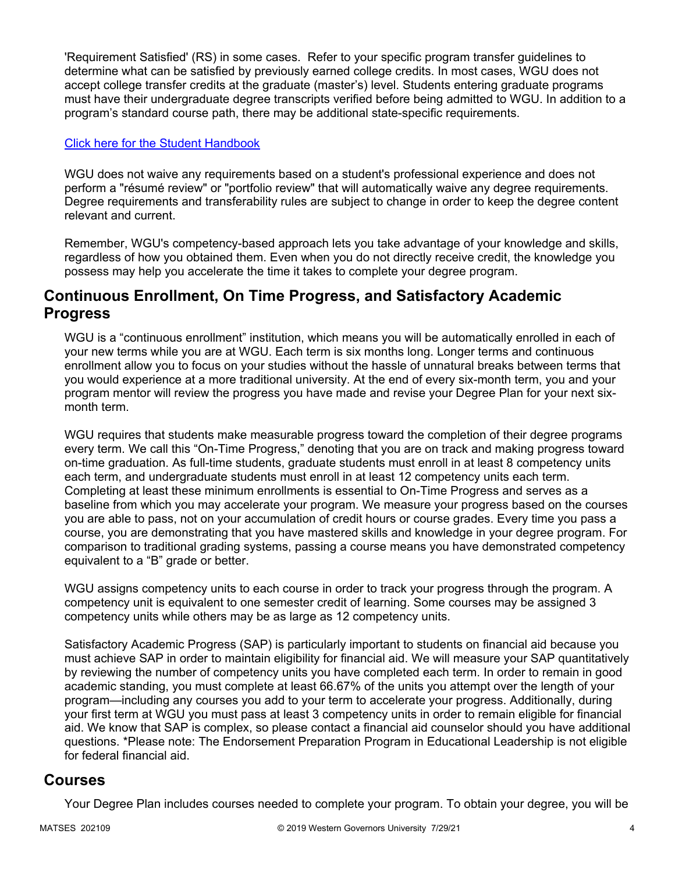'Requirement Satisfied' (RS) in some cases. Refer to your specific program transfer guidelines to determine what can be satisfied by previously earned college credits. In most cases, WGU does not accept college transfer credits at the graduate (master's) level. Students entering graduate programs must have their undergraduate degree transcripts verified before being admitted to WGU. In addition to a program's standard course path, there may be additional state-specific requirements.

### [Click here for the Student Handbook](http://cm.wgu.edu/)

WGU does not waive any requirements based on a student's professional experience and does not perform a "résumé review" or "portfolio review" that will automatically waive any degree requirements. Degree requirements and transferability rules are subject to change in order to keep the degree content relevant and current.

Remember, WGU's competency-based approach lets you take advantage of your knowledge and skills, regardless of how you obtained them. Even when you do not directly receive credit, the knowledge you possess may help you accelerate the time it takes to complete your degree program.

### **Continuous Enrollment, On Time Progress, and Satisfactory Academic Progress**

WGU is a "continuous enrollment" institution, which means you will be automatically enrolled in each of your new terms while you are at WGU. Each term is six months long. Longer terms and continuous enrollment allow you to focus on your studies without the hassle of unnatural breaks between terms that you would experience at a more traditional university. At the end of every six-month term, you and your program mentor will review the progress you have made and revise your Degree Plan for your next sixmonth term.

WGU requires that students make measurable progress toward the completion of their degree programs every term. We call this "On-Time Progress," denoting that you are on track and making progress toward on-time graduation. As full-time students, graduate students must enroll in at least 8 competency units each term, and undergraduate students must enroll in at least 12 competency units each term. Completing at least these minimum enrollments is essential to On-Time Progress and serves as a baseline from which you may accelerate your program. We measure your progress based on the courses you are able to pass, not on your accumulation of credit hours or course grades. Every time you pass a course, you are demonstrating that you have mastered skills and knowledge in your degree program. For comparison to traditional grading systems, passing a course means you have demonstrated competency equivalent to a "B" grade or better.

WGU assigns competency units to each course in order to track your progress through the program. A competency unit is equivalent to one semester credit of learning. Some courses may be assigned 3 competency units while others may be as large as 12 competency units.

Satisfactory Academic Progress (SAP) is particularly important to students on financial aid because you must achieve SAP in order to maintain eligibility for financial aid. We will measure your SAP quantitatively by reviewing the number of competency units you have completed each term. In order to remain in good academic standing, you must complete at least 66.67% of the units you attempt over the length of your program—including any courses you add to your term to accelerate your progress. Additionally, during your first term at WGU you must pass at least 3 competency units in order to remain eligible for financial aid. We know that SAP is complex, so please contact a financial aid counselor should you have additional questions. \*Please note: The Endorsement Preparation Program in Educational Leadership is not eligible for federal financial aid.

### **Courses**

Your Degree Plan includes courses needed to complete your program. To obtain your degree, you will be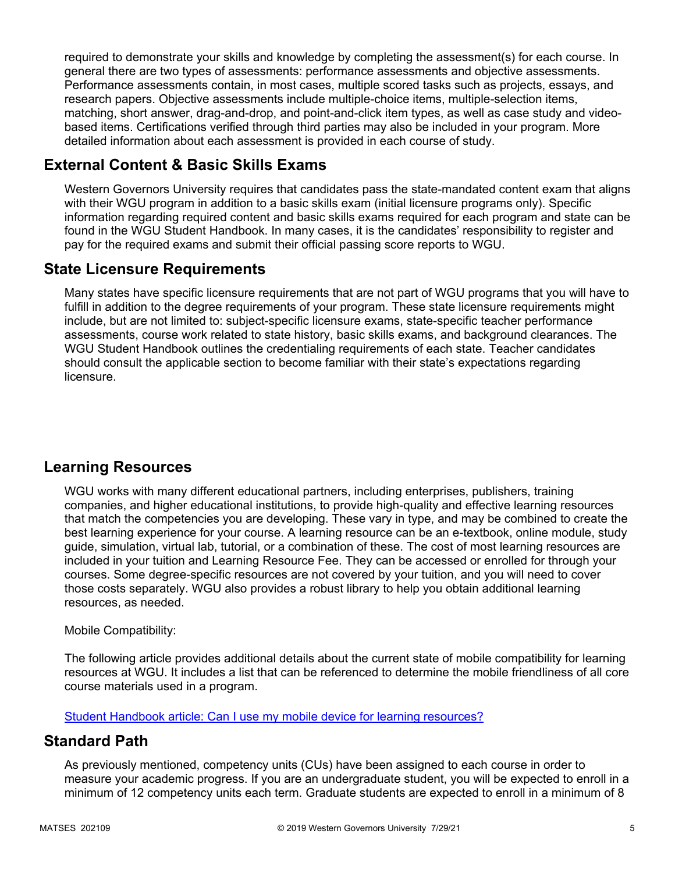required to demonstrate your skills and knowledge by completing the assessment(s) for each course. In general there are two types of assessments: performance assessments and objective assessments. Performance assessments contain, in most cases, multiple scored tasks such as projects, essays, and research papers. Objective assessments include multiple-choice items, multiple-selection items, matching, short answer, drag-and-drop, and point-and-click item types, as well as case study and videobased items. Certifications verified through third parties may also be included in your program. More detailed information about each assessment is provided in each course of study.

# **External Content & Basic Skills Exams**

Western Governors University requires that candidates pass the state-mandated content exam that aligns with their WGU program in addition to a basic skills exam (initial licensure programs only). Specific information regarding required content and basic skills exams required for each program and state can be found in the WGU Student Handbook. In many cases, it is the candidates' responsibility to register and pay for the required exams and submit their official passing score reports to WGU.

# **State Licensure Requirements**

Many states have specific licensure requirements that are not part of WGU programs that you will have to fulfill in addition to the degree requirements of your program. These state licensure requirements might include, but are not limited to: subject-specific licensure exams, state-specific teacher performance assessments, course work related to state history, basic skills exams, and background clearances. The WGU Student Handbook outlines the credentialing requirements of each state. Teacher candidates should consult the applicable section to become familiar with their state's expectations regarding licensure.

# **Learning Resources**

WGU works with many different educational partners, including enterprises, publishers, training companies, and higher educational institutions, to provide high-quality and effective learning resources that match the competencies you are developing. These vary in type, and may be combined to create the best learning experience for your course. A learning resource can be an e-textbook, online module, study guide, simulation, virtual lab, tutorial, or a combination of these. The cost of most learning resources are included in your tuition and Learning Resource Fee. They can be accessed or enrolled for through your courses. Some degree-specific resources are not covered by your tuition, and you will need to cover those costs separately. WGU also provides a robust library to help you obtain additional learning resources, as needed.

### Mobile Compatibility:

The following article provides additional details about the current state of mobile compatibility for learning resources at WGU. It includes a list that can be referenced to determine the mobile friendliness of all core course materials used in a program.

[Student Handbook article: Can I use my mobile device for learning resources?](https://cm.wgu.edu/t5/Frequently-Asked-Questions/Can-I-use-my-mobile-device-for-learning-resources/ta-p/396)

## **Standard Path**

As previously mentioned, competency units (CUs) have been assigned to each course in order to measure your academic progress. If you are an undergraduate student, you will be expected to enroll in a minimum of 12 competency units each term. Graduate students are expected to enroll in a minimum of 8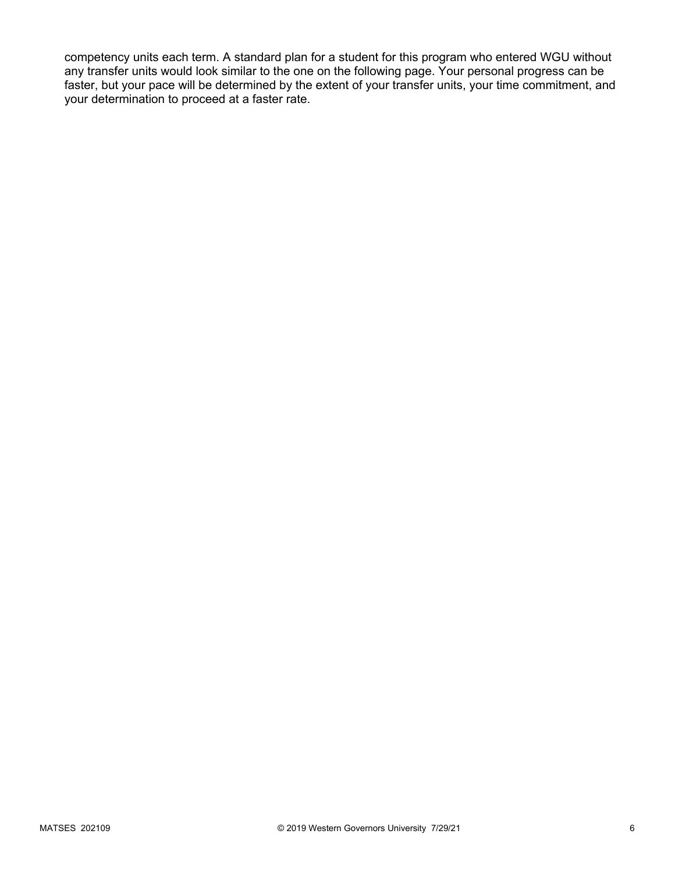competency units each term. A standard plan for a student for this program who entered WGU without any transfer units would look similar to the one on the following page. Your personal progress can be faster, but your pace will be determined by the extent of your transfer units, your time commitment, and your determination to proceed at a faster rate.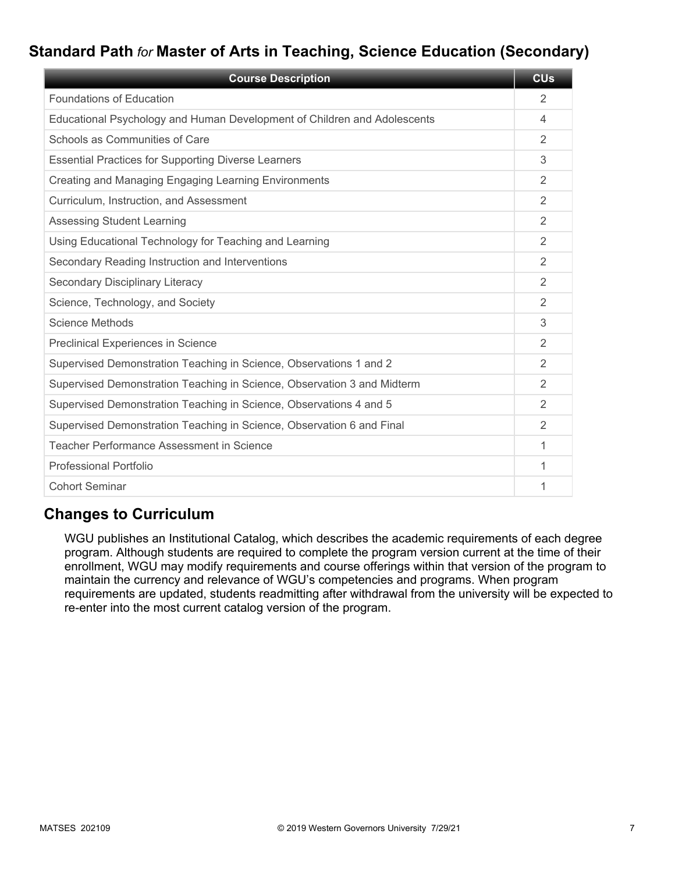# **Standard Path** *for* **Master of Arts in Teaching, Science Education (Secondary)**

| <b>Course Description</b>                                                | <b>CU<sub>s</sub></b> |
|--------------------------------------------------------------------------|-----------------------|
| <b>Foundations of Education</b>                                          | 2                     |
| Educational Psychology and Human Development of Children and Adolescents | 4                     |
| Schools as Communities of Care                                           | 2                     |
| <b>Essential Practices for Supporting Diverse Learners</b>               | 3                     |
| Creating and Managing Engaging Learning Environments                     | 2                     |
| Curriculum, Instruction, and Assessment                                  | 2                     |
| <b>Assessing Student Learning</b>                                        | 2                     |
| Using Educational Technology for Teaching and Learning                   | $\overline{2}$        |
| Secondary Reading Instruction and Interventions                          | 2                     |
| <b>Secondary Disciplinary Literacy</b>                                   | $\mathfrak{D}$        |
| Science, Technology, and Society                                         | 2                     |
| Science Methods                                                          | 3                     |
| Preclinical Experiences in Science                                       | 2                     |
| Supervised Demonstration Teaching in Science, Observations 1 and 2       | 2                     |
| Supervised Demonstration Teaching in Science, Observation 3 and Midterm  | 2                     |
| Supervised Demonstration Teaching in Science, Observations 4 and 5       | 2                     |
| Supervised Demonstration Teaching in Science, Observation 6 and Final    | $\overline{2}$        |
| Teacher Performance Assessment in Science                                | 1                     |
| <b>Professional Portfolio</b>                                            | 1                     |
| <b>Cohort Seminar</b>                                                    | 1                     |

# **Changes to Curriculum**

WGU publishes an Institutional Catalog, which describes the academic requirements of each degree program. Although students are required to complete the program version current at the time of their enrollment, WGU may modify requirements and course offerings within that version of the program to maintain the currency and relevance of WGU's competencies and programs. When program requirements are updated, students readmitting after withdrawal from the university will be expected to re-enter into the most current catalog version of the program.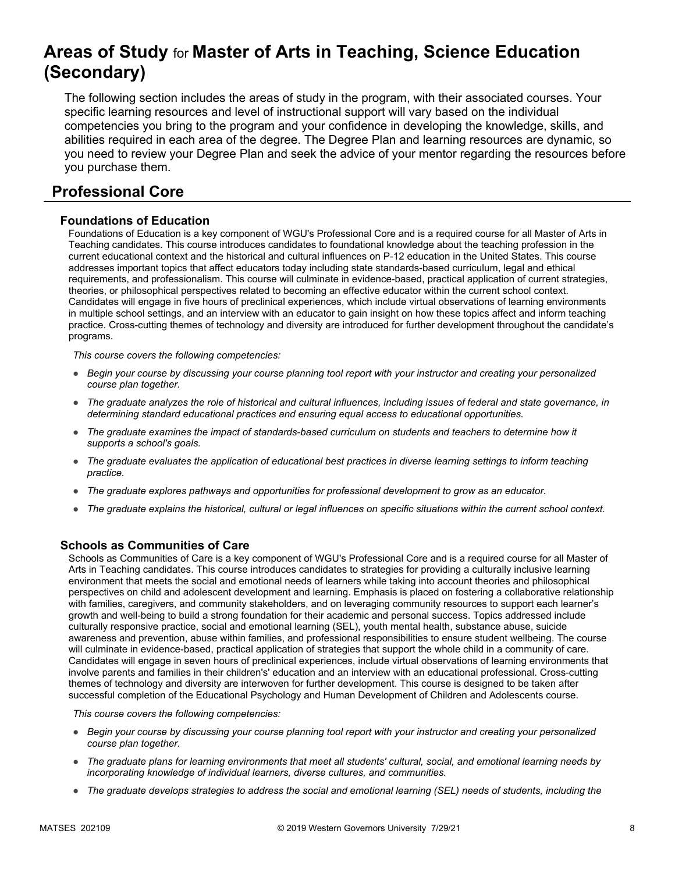# **Areas of Study** for **Master of Arts in Teaching, Science Education (Secondary)**

The following section includes the areas of study in the program, with their associated courses. Your specific learning resources and level of instructional support will vary based on the individual competencies you bring to the program and your confidence in developing the knowledge, skills, and abilities required in each area of the degree. The Degree Plan and learning resources are dynamic, so you need to review your Degree Plan and seek the advice of your mentor regarding the resources before you purchase them.

# **Professional Core**

### **Foundations of Education**

Foundations of Education is a key component of WGU's Professional Core and is a required course for all Master of Arts in Teaching candidates. This course introduces candidates to foundational knowledge about the teaching profession in the current educational context and the historical and cultural influences on P-12 education in the United States. This course addresses important topics that affect educators today including state standards-based curriculum, legal and ethical requirements, and professionalism. This course will culminate in evidence-based, practical application of current strategies, theories, or philosophical perspectives related to becoming an effective educator within the current school context. Candidates will engage in five hours of preclinical experiences, which include virtual observations of learning environments in multiple school settings, and an interview with an educator to gain insight on how these topics affect and inform teaching practice. Cross-cutting themes of technology and diversity are introduced for further development throughout the candidate's programs.

*This course covers the following competencies:*

- *Begin your course by discussing your course planning tool report with your instructor and creating your personalized course plan together.*
- *The graduate analyzes the role of historical and cultural influences, including issues of federal and state governance, in determining standard educational practices and ensuring equal access to educational opportunities.*
- *The graduate examines the impact of standards-based curriculum on students and teachers to determine how it supports a school's goals.*
- *The graduate evaluates the application of educational best practices in diverse learning settings to inform teaching practice.*
- *The graduate explores pathways and opportunities for professional development to grow as an educator.*
- *The graduate explains the historical, cultural or legal influences on specific situations within the current school context.*

### **Schools as Communities of Care**

Schools as Communities of Care is a key component of WGU's Professional Core and is a required course for all Master of Arts in Teaching candidates. This course introduces candidates to strategies for providing a culturally inclusive learning environment that meets the social and emotional needs of learners while taking into account theories and philosophical perspectives on child and adolescent development and learning. Emphasis is placed on fostering a collaborative relationship with families, caregivers, and community stakeholders, and on leveraging community resources to support each learner's growth and well-being to build a strong foundation for their academic and personal success. Topics addressed include culturally responsive practice, social and emotional learning (SEL), youth mental health, substance abuse, suicide awareness and prevention, abuse within families, and professional responsibilities to ensure student wellbeing. The course will culminate in evidence-based, practical application of strategies that support the whole child in a community of care. Candidates will engage in seven hours of preclinical experiences, include virtual observations of learning environments that involve parents and families in their children's' education and an interview with an educational professional. Cross-cutting themes of technology and diversity are interwoven for further development. This course is designed to be taken after successful completion of the Educational Psychology and Human Development of Children and Adolescents course.

- *Begin your course by discussing your course planning tool report with your instructor and creating your personalized course plan together.*
- *The graduate plans for learning environments that meet all students' cultural, social, and emotional learning needs by incorporating knowledge of individual learners, diverse cultures, and communities.*
- *The graduate develops strategies to address the social and emotional learning (SEL) needs of students, including the*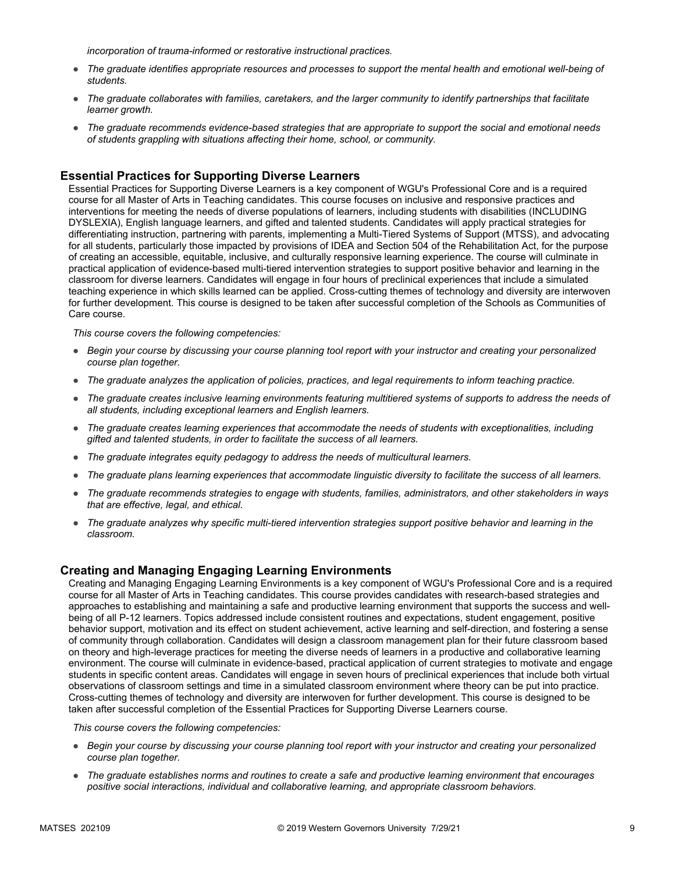*incorporation of trauma-informed or restorative instructional practices.* 

- *The graduate identifies appropriate resources and processes to support the mental health and emotional well-being of students.*
- *The graduate collaborates with families, caretakers, and the larger community to identify partnerships that facilitate learner growth.*
- *The graduate recommends evidence-based strategies that are appropriate to support the social and emotional needs of students grappling with situations affecting their home, school, or community.*

### **Essential Practices for Supporting Diverse Learners**

Essential Practices for Supporting Diverse Learners is a key component of WGU's Professional Core and is a required course for all Master of Arts in Teaching candidates. This course focuses on inclusive and responsive practices and interventions for meeting the needs of diverse populations of learners, including students with disabilities (INCLUDING DYSLEXIA), English language learners, and gifted and talented students. Candidates will apply practical strategies for differentiating instruction, partnering with parents, implementing a Multi-Tiered Systems of Support (MTSS), and advocating for all students, particularly those impacted by provisions of IDEA and Section 504 of the Rehabilitation Act, for the purpose of creating an accessible, equitable, inclusive, and culturally responsive learning experience. The course will culminate in practical application of evidence-based multi-tiered intervention strategies to support positive behavior and learning in the classroom for diverse learners. Candidates will engage in four hours of preclinical experiences that include a simulated teaching experience in which skills learned can be applied. Cross-cutting themes of technology and diversity are interwoven for further development. This course is designed to be taken after successful completion of the Schools as Communities of Care course.

*This course covers the following competencies:*

- *Begin your course by discussing your course planning tool report with your instructor and creating your personalized course plan together.*
- *The graduate analyzes the application of policies, practices, and legal requirements to inform teaching practice.*
- *The graduate creates inclusive learning environments featuring multitiered systems of supports to address the needs of all students, including exceptional learners and English learners.*
- *The graduate creates learning experiences that accommodate the needs of students with exceptionalities, including gifted and talented students, in order to facilitate the success of all learners.*
- *The graduate integrates equity pedagogy to address the needs of multicultural learners.*
- *The graduate plans learning experiences that accommodate linguistic diversity to facilitate the success of all learners.*
- *The graduate recommends strategies to engage with students, families, administrators, and other stakeholders in ways that are effective, legal, and ethical.*
- *The graduate analyzes why specific multi-tiered intervention strategies support positive behavior and learning in the classroom.*

### **Creating and Managing Engaging Learning Environments**

Creating and Managing Engaging Learning Environments is a key component of WGU's Professional Core and is a required course for all Master of Arts in Teaching candidates. This course provides candidates with research-based strategies and approaches to establishing and maintaining a safe and productive learning environment that supports the success and wellbeing of all P-12 learners. Topics addressed include consistent routines and expectations, student engagement, positive behavior support, motivation and its effect on student achievement, active learning and self-direction, and fostering a sense of community through collaboration. Candidates will design a classroom management plan for their future classroom based on theory and high-leverage practices for meeting the diverse needs of learners in a productive and collaborative learning environment. The course will culminate in evidence-based, practical application of current strategies to motivate and engage students in specific content areas. Candidates will engage in seven hours of preclinical experiences that include both virtual observations of classroom settings and time in a simulated classroom environment where theory can be put into practice. Cross-cutting themes of technology and diversity are interwoven for further development. This course is designed to be taken after successful completion of the Essential Practices for Supporting Diverse Learners course.

- *Begin your course by discussing your course planning tool report with your instructor and creating your personalized course plan together.*
- *The graduate establishes norms and routines to create a safe and productive learning environment that encourages positive social interactions, individual and collaborative learning, and appropriate classroom behaviors.*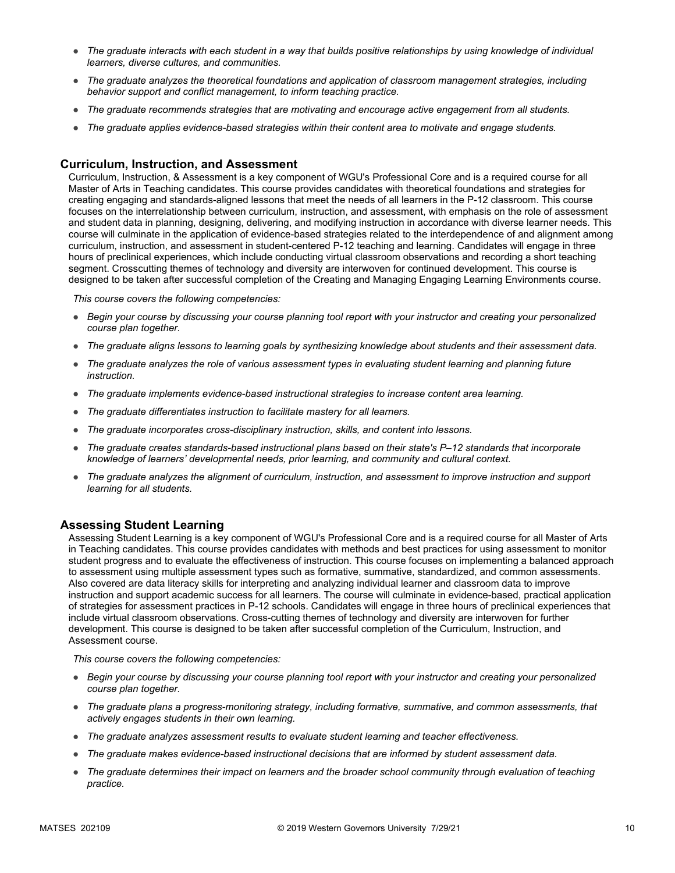- *The graduate interacts with each student in a way that builds positive relationships by using knowledge of individual learners, diverse cultures, and communities.*
- *The graduate analyzes the theoretical foundations and application of classroom management strategies, including behavior support and conflict management, to inform teaching practice.*
- *The graduate recommends strategies that are motivating and encourage active engagement from all students.*
- *The graduate applies evidence-based strategies within their content area to motivate and engage students.*

#### **Curriculum, Instruction, and Assessment**

Curriculum, Instruction, & Assessment is a key component of WGU's Professional Core and is a required course for all Master of Arts in Teaching candidates. This course provides candidates with theoretical foundations and strategies for creating engaging and standards-aligned lessons that meet the needs of all learners in the P-12 classroom. This course focuses on the interrelationship between curriculum, instruction, and assessment, with emphasis on the role of assessment and student data in planning, designing, delivering, and modifying instruction in accordance with diverse learner needs. This course will culminate in the application of evidence-based strategies related to the interdependence of and alignment among curriculum, instruction, and assessment in student-centered P-12 teaching and learning. Candidates will engage in three hours of preclinical experiences, which include conducting virtual classroom observations and recording a short teaching segment. Crosscutting themes of technology and diversity are interwoven for continued development. This course is designed to be taken after successful completion of the Creating and Managing Engaging Learning Environments course.

*This course covers the following competencies:*

- *Begin your course by discussing your course planning tool report with your instructor and creating your personalized course plan together.*
- *The graduate aligns lessons to learning goals by synthesizing knowledge about students and their assessment data.*
- *The graduate analyzes the role of various assessment types in evaluating student learning and planning future instruction.*
- *The graduate implements evidence-based instructional strategies to increase content area learning.*
- *The graduate differentiates instruction to facilitate mastery for all learners.*
- *The graduate incorporates cross-disciplinary instruction, skills, and content into lessons.*
- *The graduate creates standards-based instructional plans based on their state's P–12 standards that incorporate knowledge of learners' developmental needs, prior learning, and community and cultural context.*
- *The graduate analyzes the alignment of curriculum, instruction, and assessment to improve instruction and support learning for all students.*

#### **Assessing Student Learning**

Assessing Student Learning is a key component of WGU's Professional Core and is a required course for all Master of Arts in Teaching candidates. This course provides candidates with methods and best practices for using assessment to monitor student progress and to evaluate the effectiveness of instruction. This course focuses on implementing a balanced approach to assessment using multiple assessment types such as formative, summative, standardized, and common assessments. Also covered are data literacy skills for interpreting and analyzing individual learner and classroom data to improve instruction and support academic success for all learners. The course will culminate in evidence-based, practical application of strategies for assessment practices in P-12 schools. Candidates will engage in three hours of preclinical experiences that include virtual classroom observations. Cross-cutting themes of technology and diversity are interwoven for further development. This course is designed to be taken after successful completion of the Curriculum, Instruction, and Assessment course.

- *Begin your course by discussing your course planning tool report with your instructor and creating your personalized course plan together.*
- *The graduate plans a progress-monitoring strategy, including formative, summative, and common assessments, that actively engages students in their own learning.*
- *The graduate analyzes assessment results to evaluate student learning and teacher effectiveness.*
- *The graduate makes evidence-based instructional decisions that are informed by student assessment data.*
- The graduate determines their impact on learners and the broader school community through evaluation of teaching *practice.*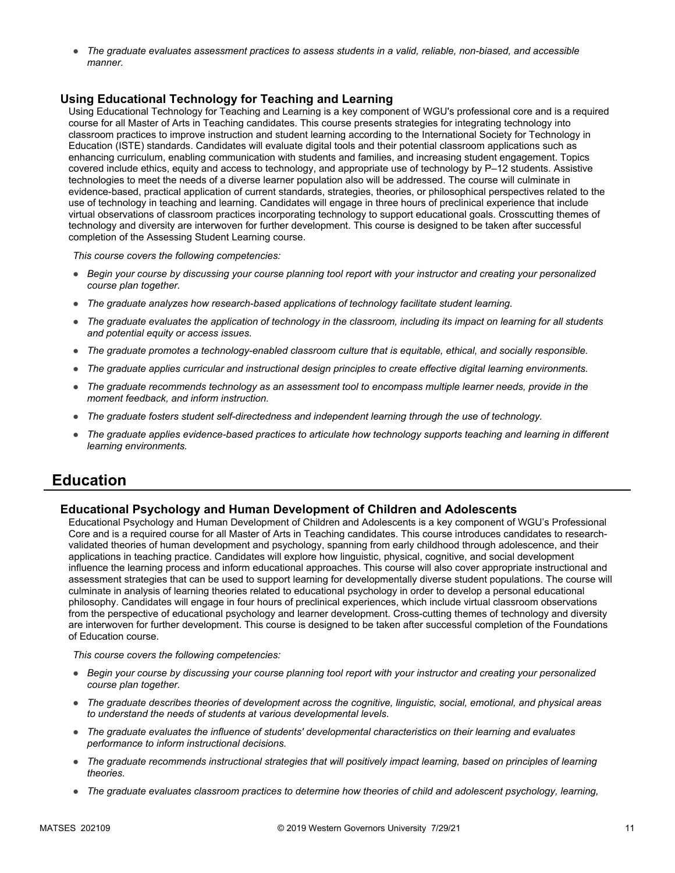● *The graduate evaluates assessment practices to assess students in a valid, reliable, non-biased, and accessible manner.*

### **Using Educational Technology for Teaching and Learning**

Using Educational Technology for Teaching and Learning is a key component of WGU's professional core and is a required course for all Master of Arts in Teaching candidates. This course presents strategies for integrating technology into classroom practices to improve instruction and student learning according to the International Society for Technology in Education (ISTE) standards. Candidates will evaluate digital tools and their potential classroom applications such as enhancing curriculum, enabling communication with students and families, and increasing student engagement. Topics covered include ethics, equity and access to technology, and appropriate use of technology by P–12 students. Assistive technologies to meet the needs of a diverse learner population also will be addressed. The course will culminate in evidence-based, practical application of current standards, strategies, theories, or philosophical perspectives related to the use of technology in teaching and learning. Candidates will engage in three hours of preclinical experience that include virtual observations of classroom practices incorporating technology to support educational goals. Crosscutting themes of technology and diversity are interwoven for further development. This course is designed to be taken after successful completion of the Assessing Student Learning course.

*This course covers the following competencies:*

- *Begin your course by discussing your course planning tool report with your instructor and creating your personalized course plan together.*
- *The graduate analyzes how research-based applications of technology facilitate student learning.*
- *The graduate evaluates the application of technology in the classroom, including its impact on learning for all students and potential equity or access issues.*
- *The graduate promotes a technology-enabled classroom culture that is equitable, ethical, and socially responsible.*
- *The graduate applies curricular and instructional design principles to create effective digital learning environments.*
- *The graduate recommends technology as an assessment tool to encompass multiple learner needs, provide in the moment feedback, and inform instruction.*
- *The graduate fosters student self-directedness and independent learning through the use of technology.*
- *The graduate applies evidence-based practices to articulate how technology supports teaching and learning in different learning environments.*

### **Education**

### **Educational Psychology and Human Development of Children and Adolescents**

Educational Psychology and Human Development of Children and Adolescents is a key component of WGU's Professional Core and is a required course for all Master of Arts in Teaching candidates. This course introduces candidates to researchvalidated theories of human development and psychology, spanning from early childhood through adolescence, and their applications in teaching practice. Candidates will explore how linguistic, physical, cognitive, and social development influence the learning process and inform educational approaches. This course will also cover appropriate instructional and assessment strategies that can be used to support learning for developmentally diverse student populations. The course will culminate in analysis of learning theories related to educational psychology in order to develop a personal educational philosophy. Candidates will engage in four hours of preclinical experiences, which include virtual classroom observations from the perspective of educational psychology and learner development. Cross-cutting themes of technology and diversity are interwoven for further development. This course is designed to be taken after successful completion of the Foundations of Education course.

- *Begin your course by discussing your course planning tool report with your instructor and creating your personalized course plan together.*
- *The graduate describes theories of development across the cognitive, linguistic, social, emotional, and physical areas to understand the needs of students at various developmental levels.*
- *The graduate evaluates the influence of students' developmental characteristics on their learning and evaluates performance to inform instructional decisions.*
- *The graduate recommends instructional strategies that will positively impact learning, based on principles of learning theories.*
- *The graduate evaluates classroom practices to determine how theories of child and adolescent psychology, learning,*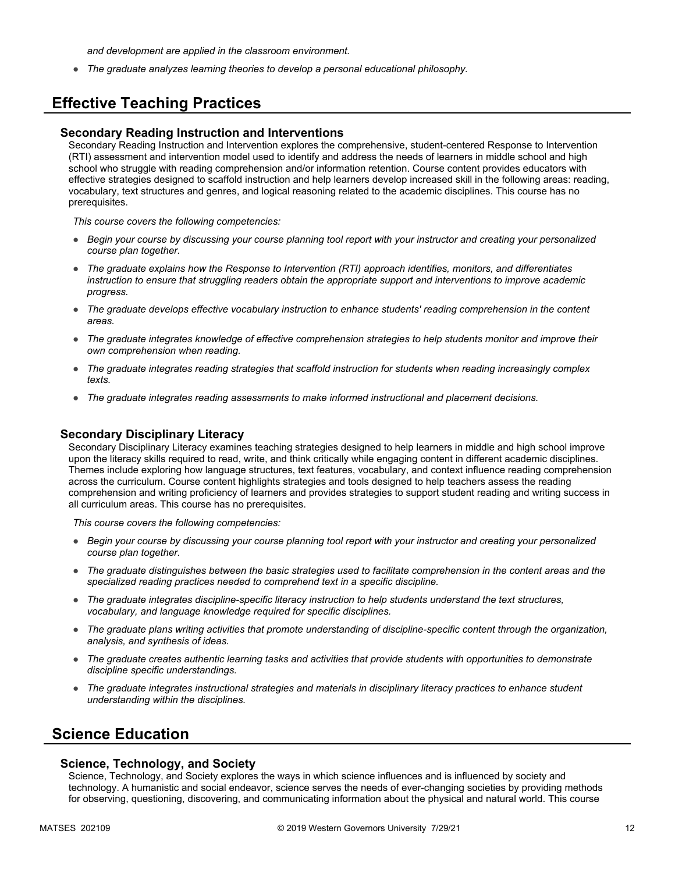*and development are applied in the classroom environment.*

● *The graduate analyzes learning theories to develop a personal educational philosophy.*

# **Effective Teaching Practices**

#### **Secondary Reading Instruction and Interventions**

Secondary Reading Instruction and Intervention explores the comprehensive, student-centered Response to Intervention (RTI) assessment and intervention model used to identify and address the needs of learners in middle school and high school who struggle with reading comprehension and/or information retention. Course content provides educators with effective strategies designed to scaffold instruction and help learners develop increased skill in the following areas: reading, vocabulary, text structures and genres, and logical reasoning related to the academic disciplines. This course has no prerequisites.

*This course covers the following competencies:*

- *Begin your course by discussing your course planning tool report with your instructor and creating your personalized course plan together.*
- *The graduate explains how the Response to Intervention (RTI) approach identifies, monitors, and differentiates instruction to ensure that struggling readers obtain the appropriate support and interventions to improve academic progress.*
- *The graduate develops effective vocabulary instruction to enhance students' reading comprehension in the content areas.*
- *The graduate integrates knowledge of effective comprehension strategies to help students monitor and improve their own comprehension when reading.*
- *The graduate integrates reading strategies that scaffold instruction for students when reading increasingly complex texts.*
- *The graduate integrates reading assessments to make informed instructional and placement decisions.*

#### **Secondary Disciplinary Literacy**

Secondary Disciplinary Literacy examines teaching strategies designed to help learners in middle and high school improve upon the literacy skills required to read, write, and think critically while engaging content in different academic disciplines. Themes include exploring how language structures, text features, vocabulary, and context influence reading comprehension across the curriculum. Course content highlights strategies and tools designed to help teachers assess the reading comprehension and writing proficiency of learners and provides strategies to support student reading and writing success in all curriculum areas. This course has no prerequisites.

*This course covers the following competencies:*

- *Begin your course by discussing your course planning tool report with your instructor and creating your personalized course plan together.*
- *The graduate distinguishes between the basic strategies used to facilitate comprehension in the content areas and the specialized reading practices needed to comprehend text in a specific discipline.*
- *The graduate integrates discipline-specific literacy instruction to help students understand the text structures, vocabulary, and language knowledge required for specific disciplines.*
- *The graduate plans writing activities that promote understanding of discipline-specific content through the organization, analysis, and synthesis of ideas.*
- *The graduate creates authentic learning tasks and activities that provide students with opportunities to demonstrate discipline specific understandings.*
- *The graduate integrates instructional strategies and materials in disciplinary literacy practices to enhance student understanding within the disciplines.*

### **Science Education**

#### **Science, Technology, and Society**

Science, Technology, and Society explores the ways in which science influences and is influenced by society and technology. A humanistic and social endeavor, science serves the needs of ever-changing societies by providing methods for observing, questioning, discovering, and communicating information about the physical and natural world. This course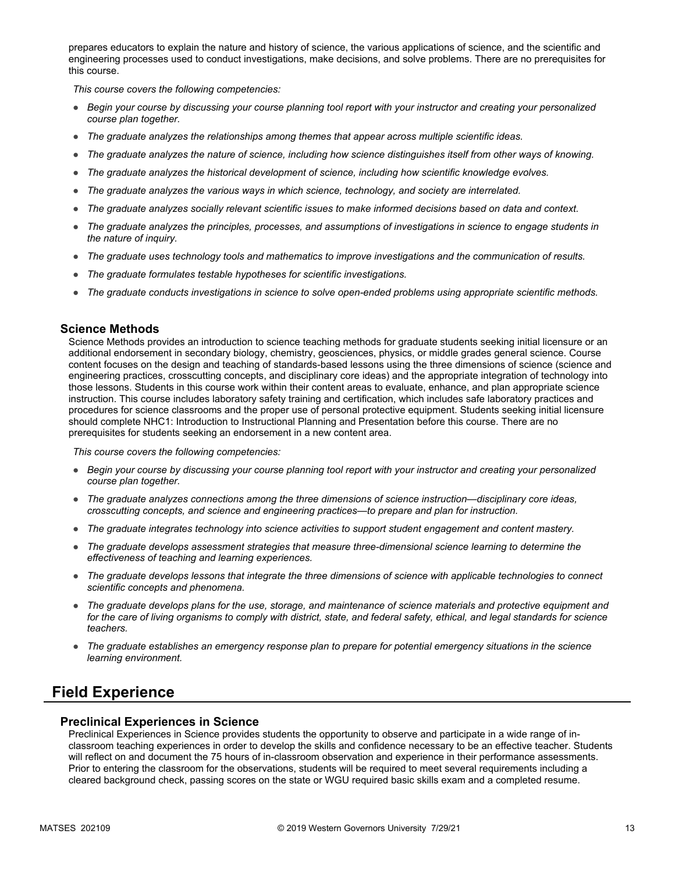prepares educators to explain the nature and history of science, the various applications of science, and the scientific and engineering processes used to conduct investigations, make decisions, and solve problems. There are no prerequisites for this course.

*This course covers the following competencies:*

- *Begin your course by discussing your course planning tool report with your instructor and creating your personalized course plan together.*
- *The graduate analyzes the relationships among themes that appear across multiple scientific ideas.*
- *The graduate analyzes the nature of science, including how science distinguishes itself from other ways of knowing.*
- *The graduate analyzes the historical development of science, including how scientific knowledge evolves.*
- *The graduate analyzes the various ways in which science, technology, and society are interrelated.*
- *The graduate analyzes socially relevant scientific issues to make informed decisions based on data and context.*
- *The graduate analyzes the principles, processes, and assumptions of investigations in science to engage students in the nature of inquiry.*
- *The graduate uses technology tools and mathematics to improve investigations and the communication of results.*
- *The graduate formulates testable hypotheses for scientific investigations.*
- *The graduate conducts investigations in science to solve open-ended problems using appropriate scientific methods.*

#### **Science Methods**

Science Methods provides an introduction to science teaching methods for graduate students seeking initial licensure or an additional endorsement in secondary biology, chemistry, geosciences, physics, or middle grades general science. Course content focuses on the design and teaching of standards-based lessons using the three dimensions of science (science and engineering practices, crosscutting concepts, and disciplinary core ideas) and the appropriate integration of technology into those lessons. Students in this course work within their content areas to evaluate, enhance, and plan appropriate science instruction. This course includes laboratory safety training and certification, which includes safe laboratory practices and procedures for science classrooms and the proper use of personal protective equipment. Students seeking initial licensure should complete NHC1: Introduction to Instructional Planning and Presentation before this course. There are no prerequisites for students seeking an endorsement in a new content area.

*This course covers the following competencies:*

- *Begin your course by discussing your course planning tool report with your instructor and creating your personalized course plan together.*
- *The graduate analyzes connections among the three dimensions of science instruction—disciplinary core ideas, crosscutting concepts, and science and engineering practices—to prepare and plan for instruction.*
- *The graduate integrates technology into science activities to support student engagement and content mastery.*
- *The graduate develops assessment strategies that measure three-dimensional science learning to determine the effectiveness of teaching and learning experiences.*
- *The graduate develops lessons that integrate the three dimensions of science with applicable technologies to connect scientific concepts and phenomena.*
- *The graduate develops plans for the use, storage, and maintenance of science materials and protective equipment and for the care of living organisms to comply with district, state, and federal safety, ethical, and legal standards for science teachers.*
- *The graduate establishes an emergency response plan to prepare for potential emergency situations in the science learning environment.*

## **Field Experience**

#### **Preclinical Experiences in Science**

Preclinical Experiences in Science provides students the opportunity to observe and participate in a wide range of inclassroom teaching experiences in order to develop the skills and confidence necessary to be an effective teacher. Students will reflect on and document the 75 hours of in-classroom observation and experience in their performance assessments. Prior to entering the classroom for the observations, students will be required to meet several requirements including a cleared background check, passing scores on the state or WGU required basic skills exam and a completed resume.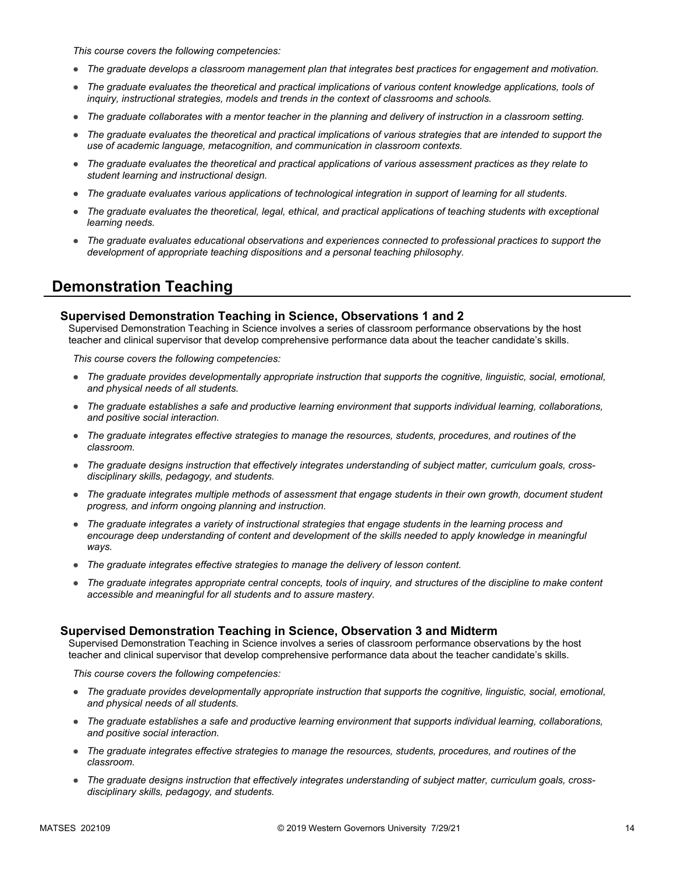*This course covers the following competencies:*

- *The graduate develops a classroom management plan that integrates best practices for engagement and motivation.*
- The graduate evaluates the theoretical and practical implications of various content knowledge applications, tools of *inquiry, instructional strategies, models and trends in the context of classrooms and schools.*
- *The graduate collaborates with a mentor teacher in the planning and delivery of instruction in a classroom setting.*
- *The graduate evaluates the theoretical and practical implications of various strategies that are intended to support the use of academic language, metacognition, and communication in classroom contexts.*
- *The graduate evaluates the theoretical and practical applications of various assessment practices as they relate to student learning and instructional design.*
- *The graduate evaluates various applications of technological integration in support of learning for all students.*
- *The graduate evaluates the theoretical, legal, ethical, and practical applications of teaching students with exceptional learning needs.*
- *The graduate evaluates educational observations and experiences connected to professional practices to support the development of appropriate teaching dispositions and a personal teaching philosophy.*

# **Demonstration Teaching**

### **Supervised Demonstration Teaching in Science, Observations 1 and 2**

Supervised Demonstration Teaching in Science involves a series of classroom performance observations by the host teacher and clinical supervisor that develop comprehensive performance data about the teacher candidate's skills.

*This course covers the following competencies:*

- *The graduate provides developmentally appropriate instruction that supports the cognitive, linguistic, social, emotional, and physical needs of all students.*
- *The graduate establishes a safe and productive learning environment that supports individual learning, collaborations, and positive social interaction.*
- *The graduate integrates effective strategies to manage the resources, students, procedures, and routines of the classroom.*
- The graduate designs instruction that effectively integrates understanding of subject matter, curriculum goals, cross*disciplinary skills, pedagogy, and students.*
- *The graduate integrates multiple methods of assessment that engage students in their own growth, document student progress, and inform ongoing planning and instruction.*
- *The graduate integrates a variety of instructional strategies that engage students in the learning process and encourage deep understanding of content and development of the skills needed to apply knowledge in meaningful ways.*
- *The graduate integrates effective strategies to manage the delivery of lesson content.*
- *The graduate integrates appropriate central concepts, tools of inquiry, and structures of the discipline to make content accessible and meaningful for all students and to assure mastery.*

### **Supervised Demonstration Teaching in Science, Observation 3 and Midterm**

Supervised Demonstration Teaching in Science involves a series of classroom performance observations by the host teacher and clinical supervisor that develop comprehensive performance data about the teacher candidate's skills.

- *The graduate provides developmentally appropriate instruction that supports the cognitive, linguistic, social, emotional, and physical needs of all students.*
- *The graduate establishes a safe and productive learning environment that supports individual learning, collaborations, and positive social interaction.*
- *The graduate integrates effective strategies to manage the resources, students, procedures, and routines of the classroom.*
- The graduate designs instruction that effectively integrates understanding of subject matter, curriculum goals, cross*disciplinary skills, pedagogy, and students.*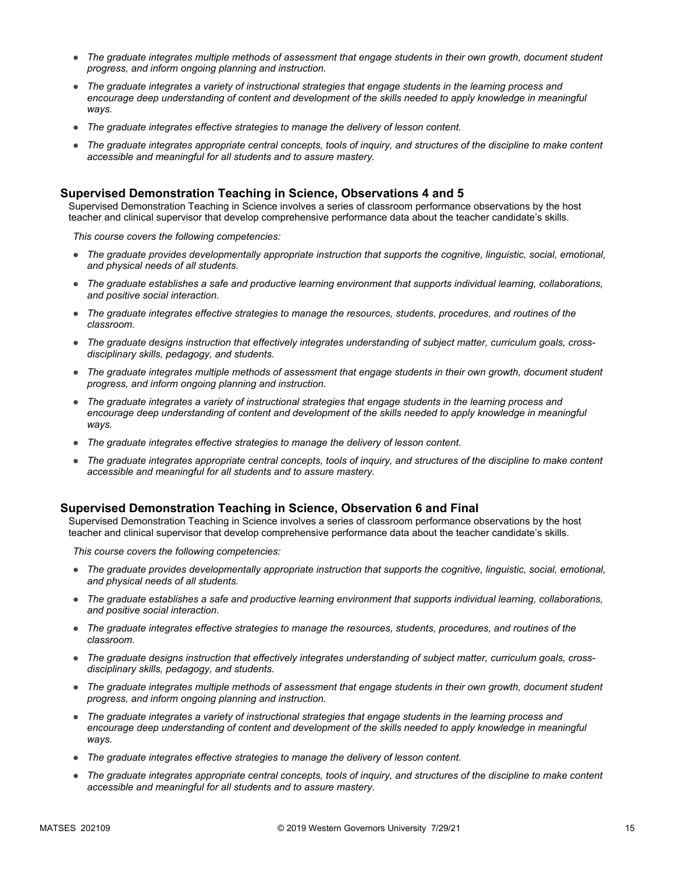- *The graduate integrates multiple methods of assessment that engage students in their own growth, document student progress, and inform ongoing planning and instruction.*
- *The graduate integrates a variety of instructional strategies that engage students in the learning process and*  encourage deep understanding of content and development of the skills needed to apply knowledge in meaningful *ways.*
- *The graduate integrates effective strategies to manage the delivery of lesson content.*
- *The graduate integrates appropriate central concepts, tools of inquiry, and structures of the discipline to make content accessible and meaningful for all students and to assure mastery.*

### **Supervised Demonstration Teaching in Science, Observations 4 and 5**

Supervised Demonstration Teaching in Science involves a series of classroom performance observations by the host teacher and clinical supervisor that develop comprehensive performance data about the teacher candidate's skills.

*This course covers the following competencies:*

- *The graduate provides developmentally appropriate instruction that supports the cognitive, linguistic, social, emotional, and physical needs of all students.*
- *The graduate establishes a safe and productive learning environment that supports individual learning, collaborations, and positive social interaction.*
- *The graduate integrates effective strategies to manage the resources, students, procedures, and routines of the classroom.*
- The graduate designs instruction that effectively integrates understanding of subject matter, curriculum goals, cross*disciplinary skills, pedagogy, and students.*
- *The graduate integrates multiple methods of assessment that engage students in their own growth, document student progress, and inform ongoing planning and instruction.*
- *The graduate integrates a variety of instructional strategies that engage students in the learning process and encourage deep understanding of content and development of the skills needed to apply knowledge in meaningful ways.*
- *The graduate integrates effective strategies to manage the delivery of lesson content.*
- *The graduate integrates appropriate central concepts, tools of inquiry, and structures of the discipline to make content accessible and meaningful for all students and to assure mastery.*

### **Supervised Demonstration Teaching in Science, Observation 6 and Final**

Supervised Demonstration Teaching in Science involves a series of classroom performance observations by the host teacher and clinical supervisor that develop comprehensive performance data about the teacher candidate's skills.

- *The graduate provides developmentally appropriate instruction that supports the cognitive, linguistic, social, emotional, and physical needs of all students.*
- *The graduate establishes a safe and productive learning environment that supports individual learning, collaborations, and positive social interaction.*
- *The graduate integrates effective strategies to manage the resources, students, procedures, and routines of the classroom.*
- The graduate designs instruction that effectively integrates understanding of subject matter, curriculum goals, cross*disciplinary skills, pedagogy, and students.*
- *The graduate integrates multiple methods of assessment that engage students in their own growth, document student progress, and inform ongoing planning and instruction.*
- *The graduate integrates a variety of instructional strategies that engage students in the learning process and*  encourage deep understanding of content and development of the skills needed to apply knowledge in meaningful *ways.*
- *The graduate integrates effective strategies to manage the delivery of lesson content.*
- *The graduate integrates appropriate central concepts, tools of inquiry, and structures of the discipline to make content accessible and meaningful for all students and to assure mastery.*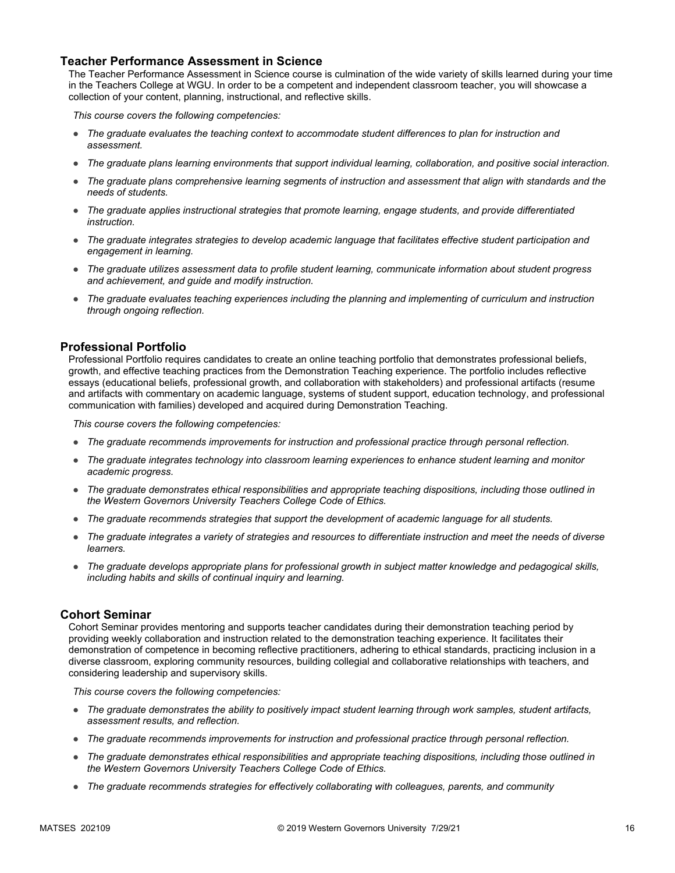### **Teacher Performance Assessment in Science**

The Teacher Performance Assessment in Science course is culmination of the wide variety of skills learned during your time in the Teachers College at WGU. In order to be a competent and independent classroom teacher, you will showcase a collection of your content, planning, instructional, and reflective skills.

*This course covers the following competencies:*

- *The graduate evaluates the teaching context to accommodate student differences to plan for instruction and assessment.*
- *The graduate plans learning environments that support individual learning, collaboration, and positive social interaction.*
- *The graduate plans comprehensive learning segments of instruction and assessment that align with standards and the needs of students.*
- *The graduate applies instructional strategies that promote learning, engage students, and provide differentiated instruction.*
- *The graduate integrates strategies to develop academic language that facilitates effective student participation and engagement in learning.*
- *The graduate utilizes assessment data to profile student learning, communicate information about student progress and achievement, and guide and modify instruction.*
- *The graduate evaluates teaching experiences including the planning and implementing of curriculum and instruction through ongoing reflection.*

### **Professional Portfolio**

Professional Portfolio requires candidates to create an online teaching portfolio that demonstrates professional beliefs, growth, and effective teaching practices from the Demonstration Teaching experience. The portfolio includes reflective essays (educational beliefs, professional growth, and collaboration with stakeholders) and professional artifacts (resume and artifacts with commentary on academic language, systems of student support, education technology, and professional communication with families) developed and acquired during Demonstration Teaching.

*This course covers the following competencies:*

- *The graduate recommends improvements for instruction and professional practice through personal reflection.*
- *The graduate integrates technology into classroom learning experiences to enhance student learning and monitor academic progress.*
- *The graduate demonstrates ethical responsibilities and appropriate teaching dispositions, including those outlined in the Western Governors University Teachers College Code of Ethics.*
- *The graduate recommends strategies that support the development of academic language for all students.*
- *The graduate integrates a variety of strategies and resources to differentiate instruction and meet the needs of diverse learners.*
- *The graduate develops appropriate plans for professional growth in subject matter knowledge and pedagogical skills, including habits and skills of continual inquiry and learning.*

#### **Cohort Seminar**

Cohort Seminar provides mentoring and supports teacher candidates during their demonstration teaching period by providing weekly collaboration and instruction related to the demonstration teaching experience. It facilitates their demonstration of competence in becoming reflective practitioners, adhering to ethical standards, practicing inclusion in a diverse classroom, exploring community resources, building collegial and collaborative relationships with teachers, and considering leadership and supervisory skills.

- *The graduate demonstrates the ability to positively impact student learning through work samples, student artifacts, assessment results, and reflection.*
- *The graduate recommends improvements for instruction and professional practice through personal reflection.*
- *The graduate demonstrates ethical responsibilities and appropriate teaching dispositions, including those outlined in the Western Governors University Teachers College Code of Ethics.*
- *The graduate recommends strategies for effectively collaborating with colleagues, parents, and community*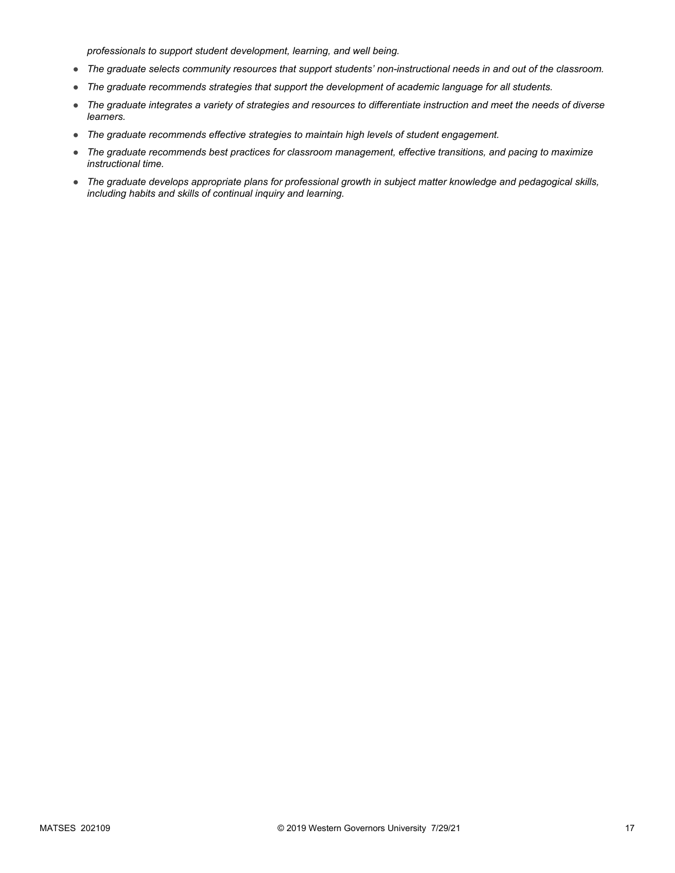*professionals to support student development, learning, and well being.*

- *The graduate selects community resources that support students' non-instructional needs in and out of the classroom.*
- *The graduate recommends strategies that support the development of academic language for all students.*
- *The graduate integrates a variety of strategies and resources to differentiate instruction and meet the needs of diverse learners.*
- *The graduate recommends effective strategies to maintain high levels of student engagement.*
- *The graduate recommends best practices for classroom management, effective transitions, and pacing to maximize instructional time.*
- *The graduate develops appropriate plans for professional growth in subject matter knowledge and pedagogical skills, including habits and skills of continual inquiry and learning.*